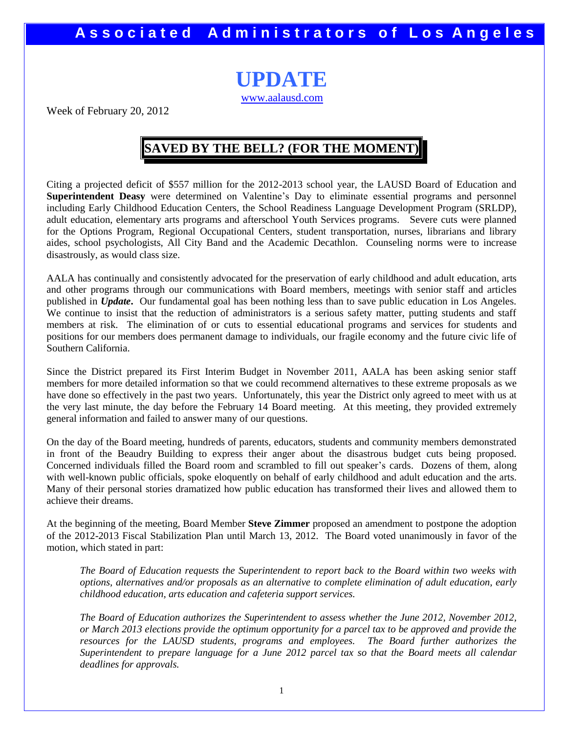**UPDATE** [www.aalausd.com](http://www.aalausd.com/)

Week of February 20, 2012

### **SAVED BY THE BELL? (FOR THE MOMENT)**

Citing a projected deficit of \$557 million for the 2012-2013 school year, the LAUSD Board of Education and **Superintendent Deasy** were determined on Valentine's Day to eliminate essential programs and personnel including Early Childhood Education Centers, the School Readiness Language Development Program (SRLDP), adult education, elementary arts programs and afterschool Youth Services programs. Severe cuts were planned for the Options Program, Regional Occupational Centers, student transportation, nurses, librarians and library aides, school psychologists, All City Band and the Academic Decathlon. Counseling norms were to increase disastrously, as would class size.

AALA has continually and consistently advocated for the preservation of early childhood and adult education, arts and other programs through our communications with Board members, meetings with senior staff and articles published in *Update***.** Our fundamental goal has been nothing less than to save public education in Los Angeles. We continue to insist that the reduction of administrators is a serious safety matter, putting students and staff members at risk. The elimination of or cuts to essential educational programs and services for students and positions for our members does permanent damage to individuals, our fragile economy and the future civic life of Southern California.

Since the District prepared its First Interim Budget in November 2011, AALA has been asking senior staff members for more detailed information so that we could recommend alternatives to these extreme proposals as we have done so effectively in the past two years. Unfortunately, this year the District only agreed to meet with us at the very last minute, the day before the February 14 Board meeting. At this meeting, they provided extremely general information and failed to answer many of our questions.

On the day of the Board meeting, hundreds of parents, educators, students and community members demonstrated in front of the Beaudry Building to express their anger about the disastrous budget cuts being proposed. Concerned individuals filled the Board room and scrambled to fill out speaker's cards. Dozens of them, along with well-known public officials, spoke eloquently on behalf of early childhood and adult education and the arts. Many of their personal stories dramatized how public education has transformed their lives and allowed them to achieve their dreams.

At the beginning of the meeting, Board Member **Steve Zimmer** proposed an amendment to postpone the adoption of the 2012-2013 Fiscal Stabilization Plan until March 13, 2012. The Board voted unanimously in favor of the motion, which stated in part:

*The Board of Education requests the Superintendent to report back to the Board within two weeks with options, alternatives and/or proposals as an alternative to complete elimination of adult education, early childhood education, arts education and cafeteria support services.*

*The Board of Education authorizes the Superintendent to assess whether the June 2012, November 2012, or March 2013 elections provide the optimum opportunity for a parcel tax to be approved and provide the resources for the LAUSD students, programs and employees. The Board further authorizes the Superintendent to prepare language for a June 2012 parcel tax so that the Board meets all calendar deadlines for approvals.*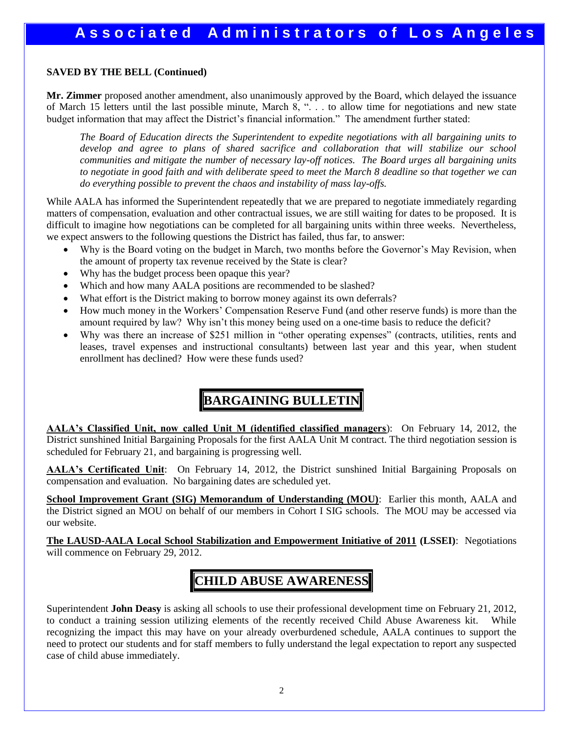#### **SAVED BY THE BELL (Continued)**

**Mr. Zimmer** proposed another amendment, also unanimously approved by the Board, which delayed the issuance of March 15 letters until the last possible minute, March 8, "... to allow time for negotiations and new state budget information that may affect the District's financial information." The amendment further stated:

*The Board of Education directs the Superintendent to expedite negotiations with all bargaining units to develop and agree to plans of shared sacrifice and collaboration that will stabilize our school communities and mitigate the number of necessary lay-off notices. The Board urges all bargaining units to negotiate in good faith and with deliberate speed to meet the March 8 deadline so that together we can do everything possible to prevent the chaos and instability of mass lay-offs.*

While AALA has informed the Superintendent repeatedly that we are prepared to negotiate immediately regarding matters of compensation, evaluation and other contractual issues, we are still waiting for dates to be proposed. It is difficult to imagine how negotiations can be completed for all bargaining units within three weeks. Nevertheless, we expect answers to the following questions the District has failed, thus far, to answer:

- Why is the Board voting on the budget in March, two months before the Governor's May Revision, when the amount of property tax revenue received by the State is clear?
- Why has the budget process been opaque this year?
- Which and how many AALA positions are recommended to be slashed?
- What effort is the District making to borrow money against its own deferrals?
- How much money in the Workers' Compensation Reserve Fund (and other reserve funds) is more than the amount required by law? Why isn't this money being used on a one-time basis to reduce the deficit?
- Why was there an increase of \$251 million in "other operating expenses" (contracts, utilities, rents and leases, travel expenses and instructional consultants) between last year and this year, when student enrollment has declined? How were these funds used?

# **BARGAINING BULLETIN**

**AALA's Classified Unit, now called Unit M (identified classified managers**): On February 14, 2012, the District sunshined Initial Bargaining Proposals for the first AALA Unit M contract. The third negotiation session is scheduled for February 21, and bargaining is progressing well.

**AALA's Certificated Unit**: On February 14, 2012, the District sunshined Initial Bargaining Proposals on compensation and evaluation. No bargaining dates are scheduled yet.

**School Improvement Grant (SIG) Memorandum of Understanding (MOU)**: Earlier this month, AALA and the District signed an MOU on behalf of our members in Cohort I SIG schools. The MOU may be accessed via our website.

**The LAUSD-AALA Local School Stabilization and Empowerment Initiative of 2011 (LSSEI)**: Negotiations will commence on February 29, 2012.

## **CHILD ABUSE AWARENESS**

Superintendent **John Deasy** is asking all schools to use their professional development time on February 21, 2012, to conduct a training session utilizing elements of the recently received Child Abuse Awareness kit. While recognizing the impact this may have on your already overburdened schedule, AALA continues to support the need to protect our students and for staff members to fully understand the legal expectation to report any suspected case of child abuse immediately.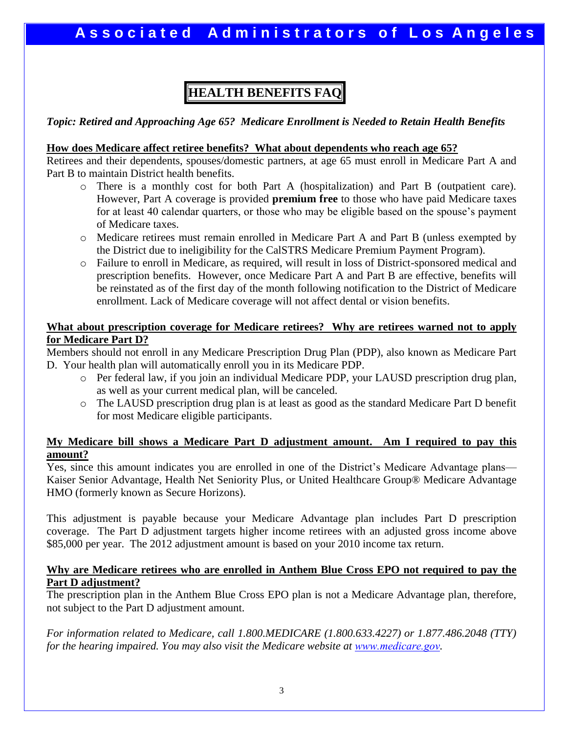# **HEALTH BENEFITS FAQ**

*Topic: Retired and Approaching Age 65? Medicare Enrollment is Needed to Retain Health Benefits* 

### **How does Medicare affect retiree benefits? What about dependents who reach age 65?**

Retirees and their dependents, spouses/domestic partners, at age 65 must enroll in Medicare Part A and Part B to maintain District health benefits.

- o There is a monthly cost for both Part A (hospitalization) and Part B (outpatient care). However, Part A coverage is provided **premium free** to those who have paid Medicare taxes for at least 40 calendar quarters, or those who may be eligible based on the spouse's payment of Medicare taxes.
- o Medicare retirees must remain enrolled in Medicare Part A and Part B (unless exempted by the District due to ineligibility for the CalSTRS Medicare Premium Payment Program).
- o Failure to enroll in Medicare, as required, will result in loss of District-sponsored medical and prescription benefits. However, once Medicare Part A and Part B are effective, benefits will be reinstated as of the first day of the month following notification to the District of Medicare enrollment. Lack of Medicare coverage will not affect dental or vision benefits.

### **What about prescription coverage for Medicare retirees? Why are retirees warned not to apply for Medicare Part D?**

Members should not enroll in any Medicare Prescription Drug Plan (PDP), also known as Medicare Part D. Your health plan will automatically enroll you in its Medicare PDP.

- o Per federal law, if you join an individual Medicare PDP, your LAUSD prescription drug plan, as well as your current medical plan, will be canceled.
- o The LAUSD prescription drug plan is at least as good as the standard Medicare Part D benefit for most Medicare eligible participants.

### **My Medicare bill shows a Medicare Part D adjustment amount. Am I required to pay this amount?**

Yes, since this amount indicates you are enrolled in one of the District's Medicare Advantage plans— Kaiser Senior Advantage, Health Net Seniority Plus, or United Healthcare Group® Medicare Advantage HMO (formerly known as Secure Horizons).

This adjustment is payable because your Medicare Advantage plan includes Part D prescription coverage. The Part D adjustment targets higher income retirees with an adjusted gross income above \$85,000 per year. The 2012 adjustment amount is based on your 2010 income tax return.

### **Why are Medicare retirees who are enrolled in Anthem Blue Cross EPO not required to pay the Part D adjustment?**

The prescription plan in the Anthem Blue Cross EPO plan is not a Medicare Advantage plan, therefore, not subject to the Part D adjustment amount.

*For information related to Medicare, call 1.800.MEDICARE (1.800.633.4227) or 1.877.486.2048 (TTY) for the hearing impaired. You may also visit the Medicare website at [www.medicare.gov](http://www.medicare.gov/).*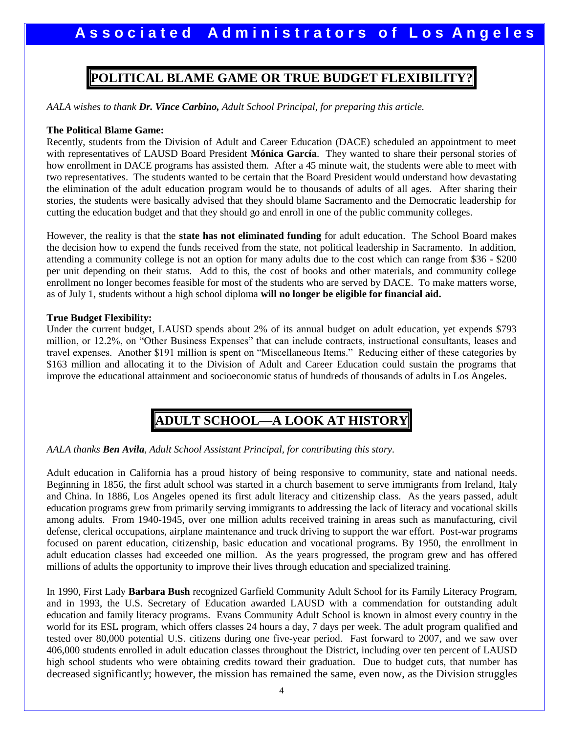### **POLITICAL BLAME GAME OR TRUE BUDGET FLEXIBILITY?**

*AALA wishes to thank Dr. Vince Carbino, Adult School Principal, for preparing this article.* 

#### **The Political Blame Game:**

Recently, students from the Division of Adult and Career Education (DACE) scheduled an appointment to meet with representatives of LAUSD Board President **Mónica García**. They wanted to share their personal stories of how enrollment in DACE programs has assisted them. After a 45 minute wait, the students were able to meet with two representatives. The students wanted to be certain that the Board President would understand how devastating the elimination of the adult education program would be to thousands of adults of all ages. After sharing their stories, the students were basically advised that they should blame Sacramento and the Democratic leadership for cutting the education budget and that they should go and enroll in one of the public community colleges.

However, the reality is that the **state has not eliminated funding** for adult education. The School Board makes the decision how to expend the funds received from the state, not political leadership in Sacramento. In addition, attending a community college is not an option for many adults due to the cost which can range from \$36 - \$200 per unit depending on their status. Add to this, the cost of books and other materials, and community college enrollment no longer becomes feasible for most of the students who are served by DACE. To make matters worse, as of July 1, students without a high school diploma **will no longer be eligible for financial aid.** 

#### **True Budget Flexibility:**

Under the current budget, LAUSD spends about 2% of its annual budget on adult education, yet expends \$793 million, or 12.2%, on "Other Business Expenses" that can include contracts, instructional consultants, leases and travel expenses. Another \$191 million is spent on "Miscellaneous Items." Reducing either of these categories by \$163 million and allocating it to the Division of Adult and Career Education could sustain the programs that improve the educational attainment and socioeconomic status of hundreds of thousands of adults in Los Angeles.

### **ADULT SCHOOL—A LOOK AT HISTORY**

#### *AALA thanks Ben Avila, Adult School Assistant Principal, for contributing this story.*

Adult education in California has a proud history of being responsive to community, state and national needs. Beginning in 1856, the first adult school was started in a church basement to serve immigrants from Ireland, Italy and China. In 1886, Los Angeles opened its first adult literacy and citizenship class. As the years passed, adult education programs grew from primarily serving immigrants to addressing the lack of literacy and vocational skills among adults. From 1940-1945, over one million adults received training in areas such as manufacturing, civil defense, clerical occupations, airplane maintenance and truck driving to support the war effort. Post-war programs focused on parent education, citizenship, basic education and vocational programs. By 1950, the enrollment in adult education classes had exceeded one million. As the years progressed, the program grew and has offered millions of adults the opportunity to improve their lives through education and specialized training.

In 1990, First Lady **Barbara Bush** recognized Garfield Community Adult School for its Family Literacy Program, and in 1993, the U.S. Secretary of Education awarded LAUSD with a commendation for outstanding adult education and family literacy programs. Evans Community Adult School is known in almost every country in the world for its ESL program, which offers classes 24 hours a day, 7 days per week. The adult program qualified and tested over 80,000 potential U.S. citizens during one five-year period. Fast forward to 2007, and we saw over 406,000 students enrolled in adult education classes throughout the District, including over ten percent of LAUSD high school students who were obtaining credits toward their graduation. Due to budget cuts, that number has decreased significantly; however, the mission has remained the same, even now, as the Division struggles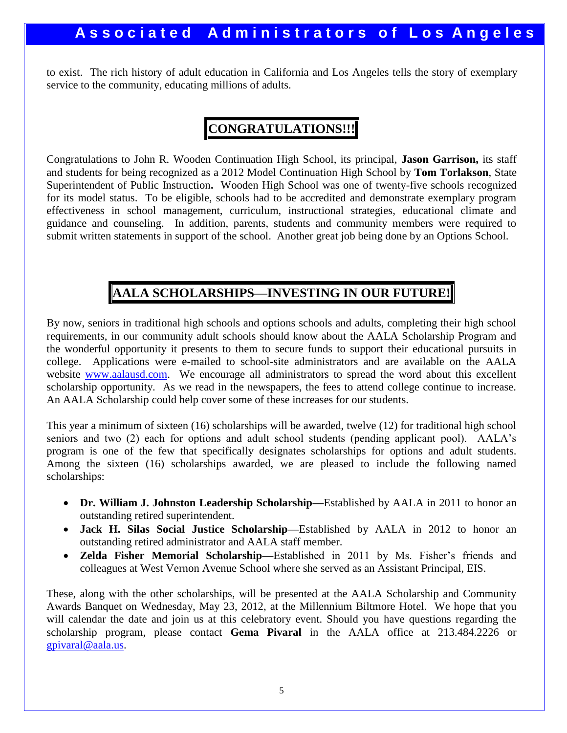to exist. The rich history of adult education in California and Los Angeles tells the story of exemplary service to the community, educating millions of adults.

### **CONGRATULATIONS!!!**

Congratulations to John R. Wooden Continuation High School, its principal, **Jason Garrison,** its staff and students for being recognized as a 2012 Model Continuation High School by **Tom Torlakson**, State Superintendent of Public Instruction**.** Wooden High School was one of twenty-five schools recognized for its model status. To be eligible, schools had to be accredited and demonstrate exemplary program effectiveness in school management, curriculum, instructional strategies, educational climate and guidance and counseling. In addition, parents, students and community members were required to submit written statements in support of the school. Another great job being done by an Options School.

## **AALA SCHOLARSHIPS—INVESTING IN OUR FUTURE!**

By now, seniors in traditional high schools and options schools and adults, completing their high school requirements, in our community adult schools should know about the AALA Scholarship Program and the wonderful opportunity it presents to them to secure funds to support their educational pursuits in college. Applications were e-mailed to school-site administrators and are available on the AALA website [www.aalausd.com.](http://www.aalause.com/) We encourage all administrators to spread the word about this excellent scholarship opportunity. As we read in the newspapers, the fees to attend college continue to increase. An AALA Scholarship could help cover some of these increases for our students.

This year a minimum of sixteen (16) scholarships will be awarded, twelve (12) for traditional high school seniors and two (2) each for options and adult school students (pending applicant pool). AALA's program is one of the few that specifically designates scholarships for options and adult students. Among the sixteen (16) scholarships awarded, we are pleased to include the following named scholarships:

- **Dr. William J. Johnston Leadership Scholarship—**Established by AALA in 2011 to honor an outstanding retired superintendent.
- **Jack H. Silas Social Justice Scholarship—**Established by AALA in 2012 to honor an outstanding retired administrator and AALA staff member.
- **Zelda Fisher Memorial Scholarship—**Established in 2011 by Ms. Fisher's friends and colleagues at West Vernon Avenue School where she served as an Assistant Principal, EIS.

These, along with the other scholarships, will be presented at the AALA Scholarship and Community Awards Banquet on Wednesday, May 23, 2012, at the Millennium Biltmore Hotel. We hope that you will calendar the date and join us at this celebratory event. Should you have questions regarding the scholarship program, please contact **Gema Pivaral** in the AALA office at 213.484.2226 or [gpivaral@aala.us.](mailto:gpivaral@aala.us)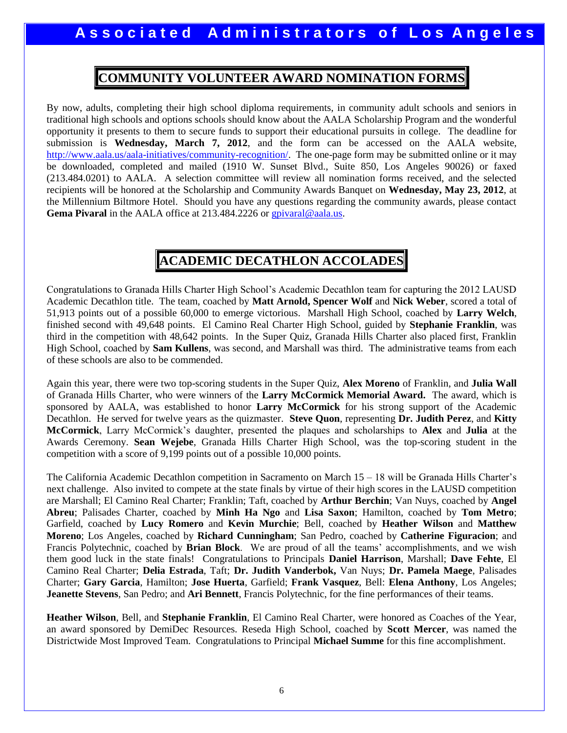### **COMMUNITY VOLUNTEER AWARD NOMINATION FORMS**

By now, adults, completing their high school diploma requirements, in community adult schools and seniors in traditional high schools and options schools should know about the AALA Scholarship Program and the wonderful opportunity it presents to them to secure funds to support their educational pursuits in college. The deadline for submission is **Wednesday, March 7, 2012**, and the form can be accessed on the AALA website, [http://www.aala.us/aala-initiatives/community-recognition/.](http://www.aala.us/aala-initiatives/community-recognition/) The one-page form may be submitted online or it may be downloaded, completed and mailed (1910 W. Sunset Blvd., Suite 850, Los Angeles 90026) or faxed (213.484.0201) to AALA. A selection committee will review all nomination forms received, and the selected recipients will be honored at the Scholarship and Community Awards Banquet on **Wednesday, May 23, 2012**, at the Millennium Biltmore Hotel. Should you have any questions regarding the community awards, please contact Gema Pivaral in the AALA office at 213.484.2226 or [gpivaral@aala.us.](mailto:gpivaral@aala.us)

### **ACADEMIC DECATHLON ACCOLADES**

Congratulations to Granada Hills Charter High School's Academic Decathlon team for capturing the 2012 LAUSD Academic Decathlon title. The team, coached by **Matt Arnold, Spencer Wolf** and **Nick Weber**, scored a total of 51,913 points out of a possible 60,000 to emerge victorious. Marshall High School, coached by **Larry Welch**, finished second with 49,648 points. El Camino Real Charter High School, guided by **Stephanie Franklin**, was third in the competition with 48,642 points. In the Super Quiz, Granada Hills Charter also placed first, Franklin High School, coached by **Sam Kullens**, was second, and Marshall was third. The administrative teams from each of these schools are also to be commended.

Again this year, there were two top-scoring students in the Super Quiz, **Alex Moreno** of Franklin, and **Julia Wall** of Granada Hills Charter, who were winners of the **Larry McCormick Memorial Award.** The award, which is sponsored by AALA, was established to honor **Larry McCormick** for his strong support of the Academic Decathlon. He served for twelve years as the quizmaster. **Steve Quon**, representing **Dr. Judith Perez**, and **Kitty McCormick**, Larry McCormick's daughter, presented the plaques and scholarships to **Alex** and **Julia** at the Awards Ceremony. **Sean Wejebe**, Granada Hills Charter High School, was the top-scoring student in the competition with a score of 9,199 points out of a possible 10,000 points.

The California Academic Decathlon competition in Sacramento on March 15 – 18 will be Granada Hills Charter's next challenge. Also invited to compete at the state finals by virtue of their high scores in the LAUSD competition are Marshall; El Camino Real Charter; Franklin; Taft, coached by **Arthur Berchin**; Van Nuys, coached by **Angel Abreu**; Palisades Charter, coached by **Minh Ha Ngo** and **Lisa Saxon**; Hamilton, coached by **Tom Metro**; Garfield, coached by **Lucy Romero** and **Kevin Murchie**; Bell, coached by **Heather Wilson** and **Matthew Moreno**; Los Angeles, coached by **Richard Cunningham**; San Pedro, coached by **Catherine Figuracion**; and Francis Polytechnic, coached by **Brian Block**. We are proud of all the teams' accomplishments, and we wish them good luck in the state finals! Congratulations to Principals **Daniel Harrison**, Marshall; **Dave Fehte**, El Camino Real Charter; **Delia Estrada**, Taft; **Dr. Judith Vanderbok,** Van Nuys; **Dr. Pamela Maege**, Palisades Charter; **Gary Garcia**, Hamilton; **Jose Huerta**, Garfield; **Frank Vasquez**, Bell: **Elena Anthony**, Los Angeles; **Jeanette Stevens**, San Pedro; and **Ari Bennett**, Francis Polytechnic, for the fine performances of their teams.

**Heather Wilson**, Bell, and **Stephanie Franklin**, El Camino Real Charter, were honored as Coaches of the Year, an award sponsored by DemiDec Resources. Reseda High School, coached by **Scott Mercer**, was named the Districtwide Most Improved Team. Congratulations to Principal **Michael Summe** for this fine accomplishment.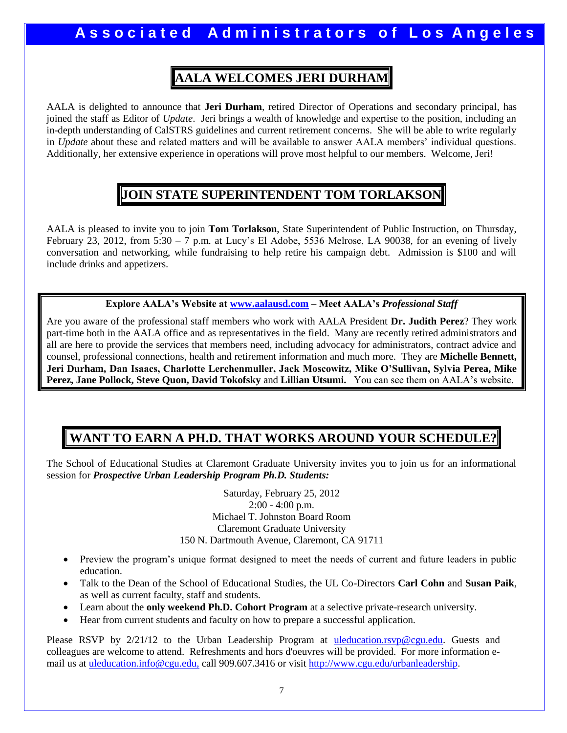## **AALA WELCOMES JERI DURHAM**

AALA is delighted to announce that **Jeri Durham**, retired Director of Operations and secondary principal, has joined the staff as Editor of *Update*. Jeri brings a wealth of knowledge and expertise to the position, including an in-depth understanding of CalSTRS guidelines and current retirement concerns. She will be able to write regularly in *Update* about these and related matters and will be available to answer AALA members' individual questions. Additionally, her extensive experience in operations will prove most helpful to our members. Welcome, Jeri!

### **JOIN STATE SUPERINTENDENT TOM TORLAKSON**

AALA is pleased to invite you to join **Tom Torlakson**, State Superintendent of Public Instruction, on Thursday, February 23, 2012, from 5:30 – 7 p.m. at Lucy's El Adobe, 5536 Melrose, LA 90038, for an evening of lively conversation and networking, while fundraising to help retire his campaign debt. Admission is \$100 and will include drinks and appetizers.

**Explore AALA's Website at [www.aalausd.com](http://www.aalausd.com/) – Meet AALA's** *Professional Staff*

Are you aware of the professional staff members who work with AALA President **Dr. Judith Perez**? They work part-time both in the AALA office and as representatives in the field. Many are recently retired administrators and all are here to provide the services that members need, including advocacy for administrators, contract advice and counsel, professional connections, health and retirement information and much more. They are **Michelle Bennett, Jeri Durham, Dan Isaacs, Charlotte Lerchenmuller, Jack Moscowitz, Mike O'Sullivan, Sylvia Perea, Mike Perez, Jane Pollock, Steve Quon, David Tokofsky** and **Lillian Utsumi.** You can see them on AALA's website.

### **WANT TO EARN A PH.D. THAT WORKS AROUND YOUR SCHEDULE?**

The School of Educational Studies at Claremont Graduate University invites you to join us for an informational session for *Prospective Urban Leadership Program Ph.D. Students:*

> Saturday, February 25, 2012  $2:00 - 4:00$  p.m. Michael T. Johnston Board Room Claremont Graduate University 150 N. Dartmouth Avenue, Claremont, CA 91711

- Preview the program's unique format designed to meet the needs of current and future leaders in public education.
- Talk to the Dean of the School of Educational Studies, the UL Co-Directors **Carl Cohn** and **Susan Paik**, as well as current faculty, staff and students.
- Learn about the **only weekend Ph.D. Cohort Program** at a selective private-research university.
- Hear from current students and faculty on how to prepare a successful application.

Please RSVP by 2/21/12 to the Urban Leadership Program at [uleducation.rsvp@cgu.edu.](mailto:uleducation.rsvp@cgu.edu) Guests and colleagues are welcome to attend. Refreshments and hors d'oeuvres will be provided. For more information email us at [uleducation.info@cgu.edu,](mailto:uleducation.info@cgu.edu) call 909.607.3416 or visit [http://www.cgu.edu/urbanleadership.](http://www.cgu.edu/urbanleadership)